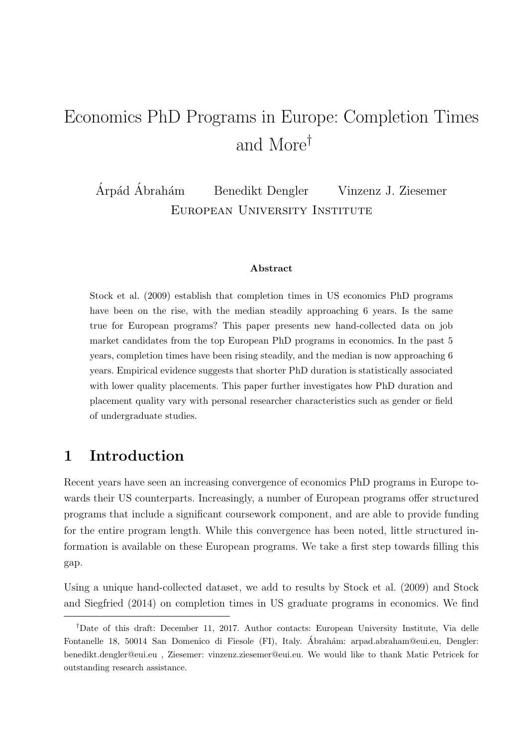# Economics PhD Programs in Europe: Completion Times and More†

Árpád Ábrahám Benedikt Dengler Vinzenz J. Ziesemer European University Institute

#### Abstract

[Stock et al.](#page-9-0) [\(2009\)](#page-9-0) establish that completion times in US economics PhD programs have been on the rise, with the median steadily approaching 6 years. Is the same true for European programs? This paper presents new hand-collected data on job market candidates from the top European PhD programs in economics. In the past 5 years, completion times have been rising steadily, and the median is now approaching 6 years. Empirical evidence suggests that shorter PhD duration is statistically associated with lower quality placements. This paper further investigates how PhD duration and placement quality vary with personal researcher characteristics such as gender or field of undergraduate studies.

## 1 Introduction

Recent years have seen an increasing convergence of economics PhD programs in Europe towards their US counterparts. Increasingly, a number of European programs offer structured programs that include a significant coursework component, and are able to provide funding for the entire program length. While this convergence has been noted, little structured information is available on these European programs. We take a first step towards filling this gap.

Using a unique hand-collected dataset, we add to results by [Stock et al.](#page-9-0) [\(2009\)](#page-9-0) and [Stock](#page-9-1) [and Siegfried](#page-9-1) [\(2014\)](#page-9-1) on completion times in US graduate programs in economics. We find

<sup>†</sup>Date of this draft: December 11, 2017. Author contacts: European University Institute, Via delle Fontanelle 18, 50014 San Domenico di Fiesole (FI), Italy. Ábrahám: arpad.abraham@eui.eu, Dengler: benedikt.dengler@eui.eu , Ziesemer: vinzenz.ziesemer@eui.eu. We would like to thank Matic Petricek for outstanding research assistance.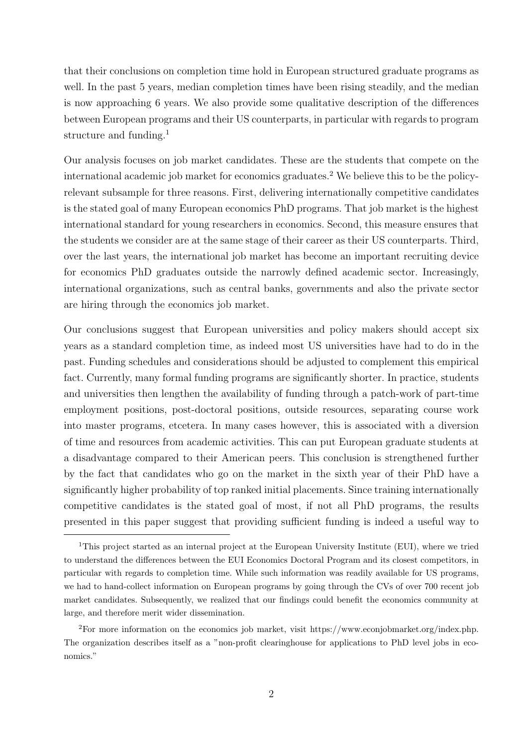that their conclusions on completion time hold in European structured graduate programs as well. In the past 5 years, median completion times have been rising steadily, and the median is now approaching 6 years. We also provide some qualitative description of the differences between European programs and their US counterparts, in particular with regards to program structure and funding.<sup>[1](#page-1-0)</sup>

Our analysis focuses on job market candidates. These are the students that compete on the international academic job market for economics graduates.[2](#page-1-1) We believe this to be the policyrelevant subsample for three reasons. First, delivering internationally competitive candidates is the stated goal of many European economics PhD programs. That job market is the highest international standard for young researchers in economics. Second, this measure ensures that the students we consider are at the same stage of their career as their US counterparts. Third, over the last years, the international job market has become an important recruiting device for economics PhD graduates outside the narrowly defined academic sector. Increasingly, international organizations, such as central banks, governments and also the private sector are hiring through the economics job market.

Our conclusions suggest that European universities and policy makers should accept six years as a standard completion time, as indeed most US universities have had to do in the past. Funding schedules and considerations should be adjusted to complement this empirical fact. Currently, many formal funding programs are significantly shorter. In practice, students and universities then lengthen the availability of funding through a patch-work of part-time employment positions, post-doctoral positions, outside resources, separating course work into master programs, etcetera. In many cases however, this is associated with a diversion of time and resources from academic activities. This can put European graduate students at a disadvantage compared to their American peers. This conclusion is strengthened further by the fact that candidates who go on the market in the sixth year of their PhD have a significantly higher probability of top ranked initial placements. Since training internationally competitive candidates is the stated goal of most, if not all PhD programs, the results presented in this paper suggest that providing sufficient funding is indeed a useful way to

<span id="page-1-0"></span><sup>1</sup>This project started as an internal project at the European University Institute (EUI), where we tried to understand the differences between the EUI Economics Doctoral Program and its closest competitors, in particular with regards to completion time. While such information was readily available for US programs, we had to hand-collect information on European programs by going through the CVs of over 700 recent job market candidates. Subsequently, we realized that our findings could benefit the economics community at large, and therefore merit wider dissemination.

<span id="page-1-1"></span><sup>2</sup>For more information on the economics job market, visit https://www.econjobmarket.org/index.php. The organization describes itself as a "non-profit clearinghouse for applications to PhD level jobs in economics."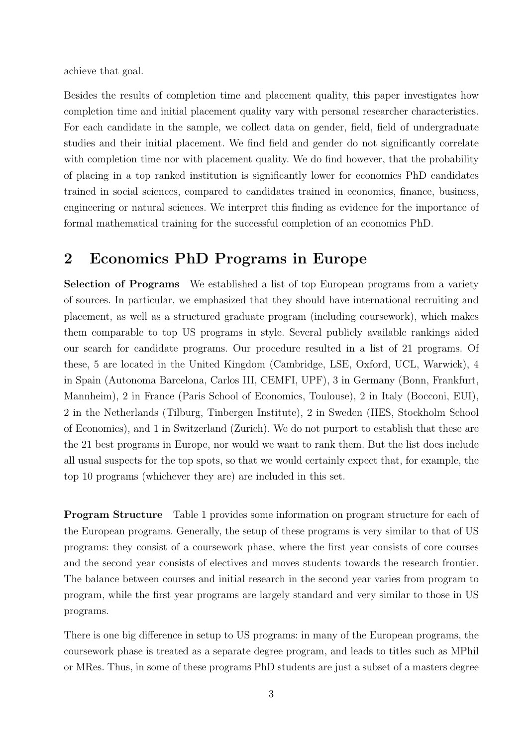achieve that goal.

Besides the results of completion time and placement quality, this paper investigates how completion time and initial placement quality vary with personal researcher characteristics. For each candidate in the sample, we collect data on gender, field, field of undergraduate studies and their initial placement. We find field and gender do not significantly correlate with completion time nor with placement quality. We do find however, that the probability of placing in a top ranked institution is significantly lower for economics PhD candidates trained in social sciences, compared to candidates trained in economics, finance, business, engineering or natural sciences. We interpret this finding as evidence for the importance of formal mathematical training for the successful completion of an economics PhD.

### 2 Economics PhD Programs in Europe

Selection of Programs We established a list of top European programs from a variety of sources. In particular, we emphasized that they should have international recruiting and placement, as well as a structured graduate program (including coursework), which makes them comparable to top US programs in style. Several publicly available rankings aided our search for candidate programs. Our procedure resulted in a list of 21 programs. Of these, 5 are located in the United Kingdom (Cambridge, LSE, Oxford, UCL, Warwick), 4 in Spain (Autonoma Barcelona, Carlos III, CEMFI, UPF), 3 in Germany (Bonn, Frankfurt, Mannheim), 2 in France (Paris School of Economics, Toulouse), 2 in Italy (Bocconi, EUI), 2 in the Netherlands (Tilburg, Tinbergen Institute), 2 in Sweden (IIES, Stockholm School of Economics), and 1 in Switzerland (Zurich). We do not purport to establish that these are the 21 best programs in Europe, nor would we want to rank them. But the list does include all usual suspects for the top spots, so that we would certainly expect that, for example, the top 10 programs (whichever they are) are included in this set.

Program Structure Table [1](#page-9-2) provides some information on program structure for each of the European programs. Generally, the setup of these programs is very similar to that of US programs: they consist of a coursework phase, where the first year consists of core courses and the second year consists of electives and moves students towards the research frontier. The balance between courses and initial research in the second year varies from program to program, while the first year programs are largely standard and very similar to those in US programs.

There is one big difference in setup to US programs: in many of the European programs, the coursework phase is treated as a separate degree program, and leads to titles such as MPhil or MRes. Thus, in some of these programs PhD students are just a subset of a masters degree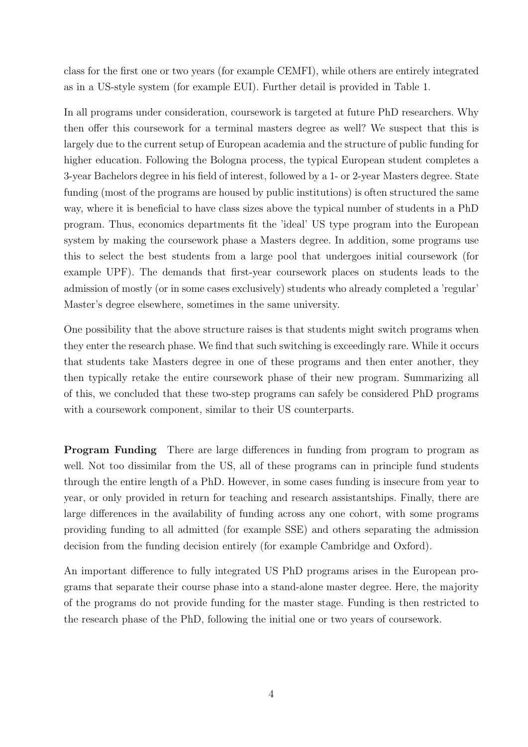class for the first one or two years (for example CEMFI), while others are entirely integrated as in a US-style system (for example EUI). Further detail is provided in Table [1.](#page-9-2)

In all programs under consideration, coursework is targeted at future PhD researchers. Why then offer this coursework for a terminal masters degree as well? We suspect that this is largely due to the current setup of European academia and the structure of public funding for higher education. Following the Bologna process, the typical European student completes a 3-year Bachelors degree in his field of interest, followed by a 1- or 2-year Masters degree. State funding (most of the programs are housed by public institutions) is often structured the same way, where it is beneficial to have class sizes above the typical number of students in a PhD program. Thus, economics departments fit the 'ideal' US type program into the European system by making the coursework phase a Masters degree. In addition, some programs use this to select the best students from a large pool that undergoes initial coursework (for example UPF). The demands that first-year coursework places on students leads to the admission of mostly (or in some cases exclusively) students who already completed a 'regular' Master's degree elsewhere, sometimes in the same university.

One possibility that the above structure raises is that students might switch programs when they enter the research phase. We find that such switching is exceedingly rare. While it occurs that students take Masters degree in one of these programs and then enter another, they then typically retake the entire coursework phase of their new program. Summarizing all of this, we concluded that these two-step programs can safely be considered PhD programs with a coursework component, similar to their US counterparts.

Program Funding There are large differences in funding from program to program as well. Not too dissimilar from the US, all of these programs can in principle fund students through the entire length of a PhD. However, in some cases funding is insecure from year to year, or only provided in return for teaching and research assistantships. Finally, there are large differences in the availability of funding across any one cohort, with some programs providing funding to all admitted (for example SSE) and others separating the admission decision from the funding decision entirely (for example Cambridge and Oxford).

An important difference to fully integrated US PhD programs arises in the European programs that separate their course phase into a stand-alone master degree. Here, the majority of the programs do not provide funding for the master stage. Funding is then restricted to the research phase of the PhD, following the initial one or two years of coursework.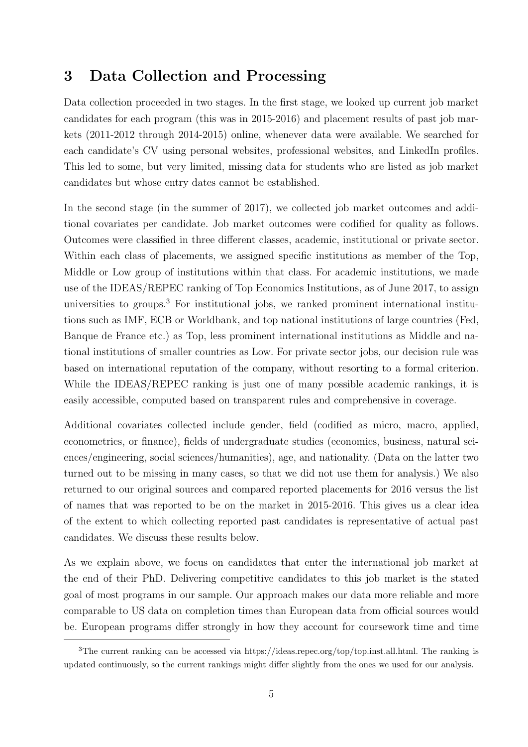## 3 Data Collection and Processing

Data collection proceeded in two stages. In the first stage, we looked up current job market candidates for each program (this was in 2015-2016) and placement results of past job markets (2011-2012 through 2014-2015) online, whenever data were available. We searched for each candidate's CV using personal websites, professional websites, and LinkedIn profiles. This led to some, but very limited, missing data for students who are listed as job market candidates but whose entry dates cannot be established.

In the second stage (in the summer of 2017), we collected job market outcomes and additional covariates per candidate. Job market outcomes were codified for quality as follows. Outcomes were classified in three different classes, academic, institutional or private sector. Within each class of placements, we assigned specific institutions as member of the Top, Middle or Low group of institutions within that class. For academic institutions, we made use of the IDEAS/REPEC ranking of Top Economics Institutions, as of June 2017, to assign universities to groups.<sup>[3](#page-4-0)</sup> For institutional jobs, we ranked prominent international institutions such as IMF, ECB or Worldbank, and top national institutions of large countries (Fed, Banque de France etc.) as Top, less prominent international institutions as Middle and national institutions of smaller countries as Low. For private sector jobs, our decision rule was based on international reputation of the company, without resorting to a formal criterion. While the IDEAS/REPEC ranking is just one of many possible academic rankings, it is easily accessible, computed based on transparent rules and comprehensive in coverage.

Additional covariates collected include gender, field (codified as micro, macro, applied, econometrics, or finance), fields of undergraduate studies (economics, business, natural sciences/engineering, social sciences/humanities), age, and nationality. (Data on the latter two turned out to be missing in many cases, so that we did not use them for analysis.) We also returned to our original sources and compared reported placements for 2016 versus the list of names that was reported to be on the market in 2015-2016. This gives us a clear idea of the extent to which collecting reported past candidates is representative of actual past candidates. We discuss these results below.

As we explain above, we focus on candidates that enter the international job market at the end of their PhD. Delivering competitive candidates to this job market is the stated goal of most programs in our sample. Our approach makes our data more reliable and more comparable to US data on completion times than European data from official sources would be. European programs differ strongly in how they account for coursework time and time

<span id="page-4-0"></span><sup>3</sup>The current ranking can be accessed via https://ideas.repec.org/top/top.inst.all.html. The ranking is updated continuously, so the current rankings might differ slightly from the ones we used for our analysis.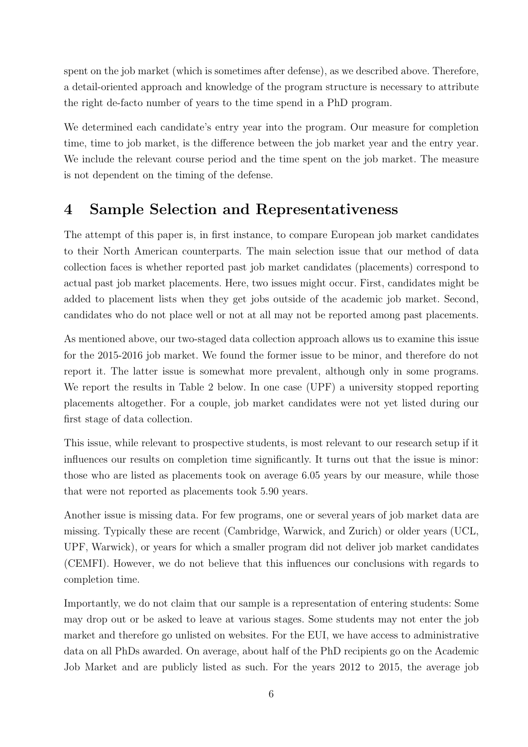spent on the job market (which is sometimes after defense), as we described above. Therefore, a detail-oriented approach and knowledge of the program structure is necessary to attribute the right de-facto number of years to the time spend in a PhD program.

We determined each candidate's entry year into the program. Our measure for completion time, time to job market, is the difference between the job market year and the entry year. We include the relevant course period and the time spent on the job market. The measure is not dependent on the timing of the defense.

## 4 Sample Selection and Representativeness

The attempt of this paper is, in first instance, to compare European job market candidates to their North American counterparts. The main selection issue that our method of data collection faces is whether reported past job market candidates (placements) correspond to actual past job market placements. Here, two issues might occur. First, candidates might be added to placement lists when they get jobs outside of the academic job market. Second, candidates who do not place well or not at all may not be reported among past placements.

As mentioned above, our two-staged data collection approach allows us to examine this issue for the 2015-2016 job market. We found the former issue to be minor, and therefore do not report it. The latter issue is somewhat more prevalent, although only in some programs. We report the results in Table [2](#page-12-0) below. In one case (UPF) a university stopped reporting placements altogether. For a couple, job market candidates were not yet listed during our first stage of data collection.

This issue, while relevant to prospective students, is most relevant to our research setup if it influences our results on completion time significantly. It turns out that the issue is minor: those who are listed as placements took on average 6.05 years by our measure, while those that were not reported as placements took 5.90 years.

Another issue is missing data. For few programs, one or several years of job market data are missing. Typically these are recent (Cambridge, Warwick, and Zurich) or older years (UCL, UPF, Warwick), or years for which a smaller program did not deliver job market candidates (CEMFI). However, we do not believe that this influences our conclusions with regards to completion time.

Importantly, we do not claim that our sample is a representation of entering students: Some may drop out or be asked to leave at various stages. Some students may not enter the job market and therefore go unlisted on websites. For the EUI, we have access to administrative data on all PhDs awarded. On average, about half of the PhD recipients go on the Academic Job Market and are publicly listed as such. For the years 2012 to 2015, the average job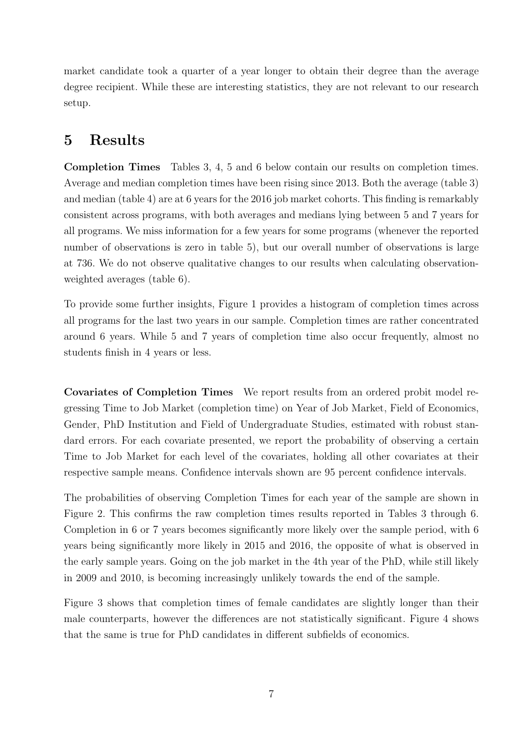market candidate took a quarter of a year longer to obtain their degree than the average degree recipient. While these are interesting statistics, they are not relevant to our research setup.

### 5 Results

Completion Times Tables [3,](#page-13-0) [4,](#page-14-0) [5](#page-15-0) and [6](#page-16-0) below contain our results on completion times. Average and median completion times have been rising since 2013. Both the average (table [3\)](#page-13-0) and median (table [4\)](#page-14-0) are at 6 years for the 2016 job market cohorts. This finding is remarkably consistent across programs, with both averages and medians lying between 5 and 7 years for all programs. We miss information for a few years for some programs (whenever the reported number of observations is zero in table [5\)](#page-15-0), but our overall number of observations is large at 736. We do not observe qualitative changes to our results when calculating observationweighted averages (table [6\)](#page-16-0).

To provide some further insights, Figure [1](#page-17-0) provides a histogram of completion times across all programs for the last two years in our sample. Completion times are rather concentrated around 6 years. While 5 and 7 years of completion time also occur frequently, almost no students finish in 4 years or less.

Covariates of Completion Times We report results from an ordered probit model regressing Time to Job Market (completion time) on Year of Job Market, Field of Economics, Gender, PhD Institution and Field of Undergraduate Studies, estimated with robust standard errors. For each covariate presented, we report the probability of observing a certain Time to Job Market for each level of the covariates, holding all other covariates at their respective sample means. Confidence intervals shown are 95 percent confidence intervals.

The probabilities of observing Completion Times for each year of the sample are shown in Figure [2.](#page-17-1) This confirms the raw completion times results reported in Tables [3](#page-13-0) through [6.](#page-16-0) Completion in 6 or 7 years becomes significantly more likely over the sample period, with 6 years being significantly more likely in 2015 and 2016, the opposite of what is observed in the early sample years. Going on the job market in the 4th year of the PhD, while still likely in 2009 and 2010, is becoming increasingly unlikely towards the end of the sample.

Figure [3](#page-18-0) shows that completion times of female candidates are slightly longer than their male counterparts, however the differences are not statistically significant. Figure [4](#page-18-1) shows that the same is true for PhD candidates in different subfields of economics.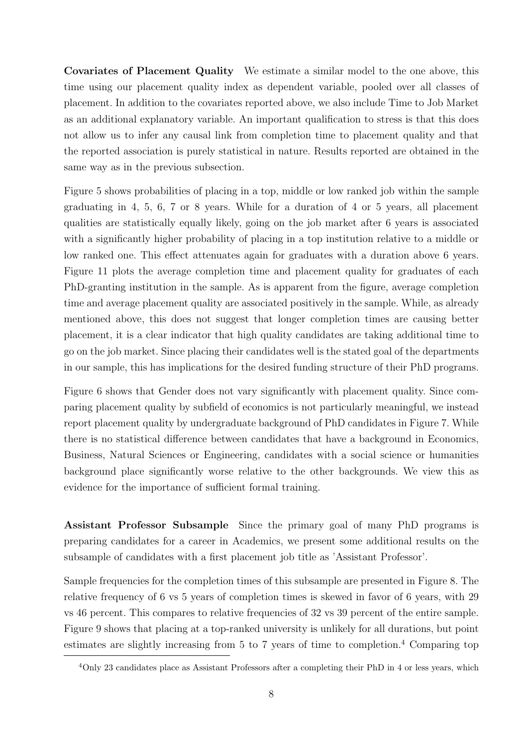Covariates of Placement Quality We estimate a similar model to the one above, this time using our placement quality index as dependent variable, pooled over all classes of placement. In addition to the covariates reported above, we also include Time to Job Market as an additional explanatory variable. An important qualification to stress is that this does not allow us to infer any causal link from completion time to placement quality and that the reported association is purely statistical in nature. Results reported are obtained in the same way as in the previous subsection.

Figure [5](#page-19-0) shows probabilities of placing in a top, middle or low ranked job within the sample graduating in 4, 5, 6, 7 or 8 years. While for a duration of 4 or 5 years, all placement qualities are statistically equally likely, going on the job market after 6 years is associated with a significantly higher probability of placing in a top institution relative to a middle or low ranked one. This effect attenuates again for graduates with a duration above 6 years. Figure [11](#page-22-0) plots the average completion time and placement quality for graduates of each PhD-granting institution in the sample. As is apparent from the figure, average completion time and average placement quality are associated positively in the sample. While, as already mentioned above, this does not suggest that longer completion times are causing better placement, it is a clear indicator that high quality candidates are taking additional time to go on the job market. Since placing their candidates well is the stated goal of the departments in our sample, this has implications for the desired funding structure of their PhD programs.

Figure [6](#page-19-1) shows that Gender does not vary significantly with placement quality. Since comparing placement quality by subfield of economics is not particularly meaningful, we instead report placement quality by undergraduate background of PhD candidates in Figure [7.](#page-20-0) While there is no statistical difference between candidates that have a background in Economics, Business, Natural Sciences or Engineering, candidates with a social science or humanities background place significantly worse relative to the other backgrounds. We view this as evidence for the importance of sufficient formal training.

Assistant Professor Subsample Since the primary goal of many PhD programs is preparing candidates for a career in Academics, we present some additional results on the subsample of candidates with a first placement job title as 'Assistant Professor'.

Sample frequencies for the completion times of this subsample are presented in Figure [8.](#page-20-1) The relative frequency of 6 vs 5 years of completion times is skewed in favor of 6 years, with 29 vs 46 percent. This compares to relative frequencies of 32 vs 39 percent of the entire sample. Figure [9](#page-21-0) shows that placing at a top-ranked university is unlikely for all durations, but point estimates are slightly increasing from 5 to 7 years of time to completion.[4](#page-7-0) Comparing top

<span id="page-7-0"></span><sup>4</sup>Only 23 candidates place as Assistant Professors after a completing their PhD in 4 or less years, which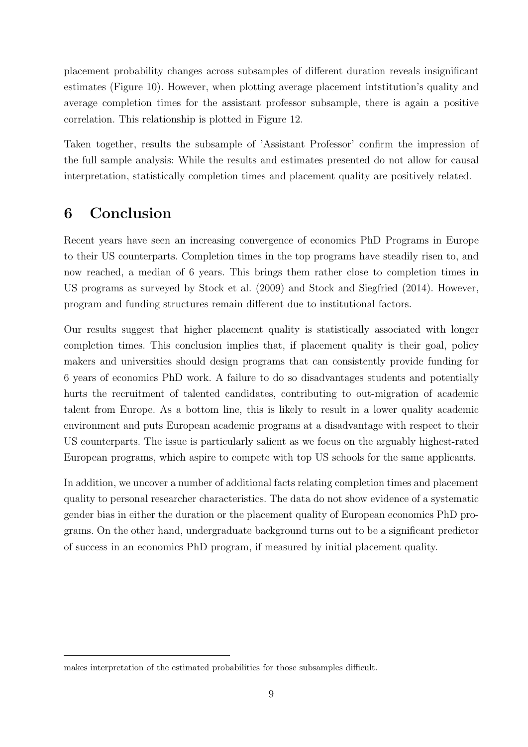placement probability changes across subsamples of different duration reveals insignificant estimates (Figure [10\)](#page-21-1). However, when plotting average placement intstitution's quality and average completion times for the assistant professor subsample, there is again a positive correlation. This relationship is plotted in Figure [12.](#page-23-0)

Taken together, results the subsample of 'Assistant Professor' confirm the impression of the full sample analysis: While the results and estimates presented do not allow for causal interpretation, statistically completion times and placement quality are positively related.

## 6 Conclusion

Recent years have seen an increasing convergence of economics PhD Programs in Europe to their US counterparts. Completion times in the top programs have steadily risen to, and now reached, a median of 6 years. This brings them rather close to completion times in US programs as surveyed by [Stock et al.](#page-9-0) [\(2009\)](#page-9-0) and [Stock and Siegfried](#page-9-1) [\(2014\)](#page-9-1). However, program and funding structures remain different due to institutional factors.

Our results suggest that higher placement quality is statistically associated with longer completion times. This conclusion implies that, if placement quality is their goal, policy makers and universities should design programs that can consistently provide funding for 6 years of economics PhD work. A failure to do so disadvantages students and potentially hurts the recruitment of talented candidates, contributing to out-migration of academic talent from Europe. As a bottom line, this is likely to result in a lower quality academic environment and puts European academic programs at a disadvantage with respect to their US counterparts. The issue is particularly salient as we focus on the arguably highest-rated European programs, which aspire to compete with top US schools for the same applicants.

In addition, we uncover a number of additional facts relating completion times and placement quality to personal researcher characteristics. The data do not show evidence of a systematic gender bias in either the duration or the placement quality of European economics PhD programs. On the other hand, undergraduate background turns out to be a significant predictor of success in an economics PhD program, if measured by initial placement quality.

makes interpretation of the estimated probabilities for those subsamples difficult.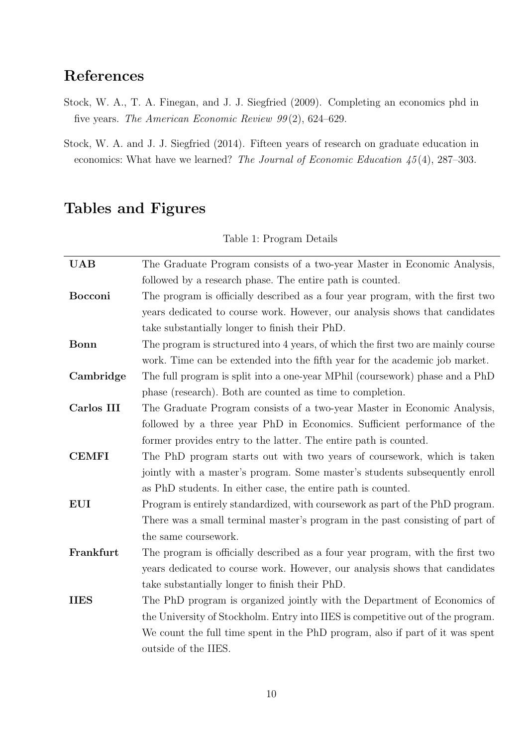## References

- <span id="page-9-0"></span>Stock, W. A., T. A. Finegan, and J. J. Siegfried (2009). Completing an economics phd in five years. The American Economic Review 99 (2), 624–629.
- <span id="page-9-1"></span>Stock, W. A. and J. J. Siegfried (2014). Fifteen years of research on graduate education in economics: What have we learned? The Journal of Economic Education 45 (4), 287–303.

## <span id="page-9-2"></span>Tables and Figures

| <b>UAB</b>   | The Graduate Program consists of a two-year Master in Economic Analysis,         |
|--------------|----------------------------------------------------------------------------------|
|              | followed by a research phase. The entire path is counted.                        |
| Bocconi      | The program is officially described as a four year program, with the first two   |
|              | years dedicated to course work. However, our analysis shows that candidates      |
|              | take substantially longer to finish their PhD.                                   |
| Bonn         | The program is structured into 4 years, of which the first two are mainly course |
|              | work. Time can be extended into the fifth year for the academic job market.      |
| Cambridge    | The full program is split into a one-year MPhil (coursework) phase and a PhD     |
|              | phase (research). Both are counted as time to completion.                        |
| Carlos III   | The Graduate Program consists of a two-year Master in Economic Analysis,         |
|              | followed by a three year PhD in Economics. Sufficient performance of the         |
|              | former provides entry to the latter. The entire path is counted.                 |
| <b>CEMFI</b> | The PhD program starts out with two years of coursework, which is taken          |
|              | jointly with a master's program. Some master's students subsequently enroll      |
|              | as PhD students. In either case, the entire path is counted.                     |
| <b>EUI</b>   | Program is entirely standardized, with coursework as part of the PhD program.    |
|              | There was a small terminal master's program in the past consisting of part of    |
|              | the same coursework.                                                             |
| Frankfurt    | The program is officially described as a four year program, with the first two   |
|              | years dedicated to course work. However, our analysis shows that candidates      |
|              | take substantially longer to finish their PhD.                                   |
| <b>IIES</b>  | The PhD program is organized jointly with the Department of Economics of         |
|              | the University of Stockholm. Entry into IIES is competitive out of the program.  |
|              | We count the full time spent in the PhD program, also if part of it was spent    |
|              | outside of the IIES.                                                             |

Table 1: Program Details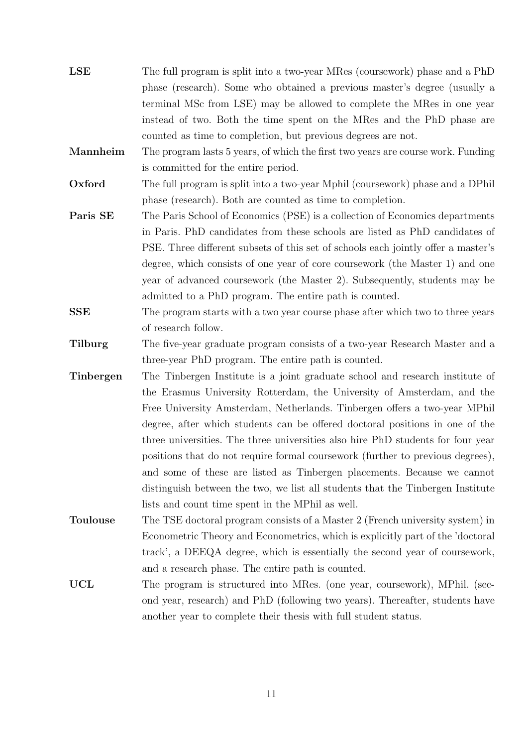- LSE The full program is split into a two-year MRes (coursework) phase and a PhD phase (research). Some who obtained a previous master's degree (usually a terminal MSc from LSE) may be allowed to complete the MRes in one year instead of two. Both the time spent on the MRes and the PhD phase are counted as time to completion, but previous degrees are not.
- Mannheim The program lasts 5 years, of which the first two years are course work. Funding is committed for the entire period.
- Oxford The full program is split into a two-year Mphil (coursework) phase and a DPhil phase (research). Both are counted as time to completion.
- **Paris SE** The Paris School of Economics (PSE) is a collection of Economics departments in Paris. PhD candidates from these schools are listed as PhD candidates of PSE. Three different subsets of this set of schools each jointly offer a master's degree, which consists of one year of core coursework (the Master 1) and one year of advanced coursework (the Master 2). Subsequently, students may be admitted to a PhD program. The entire path is counted.
- SSE The program starts with a two year course phase after which two to three years of research follow.
- Tilburg The five-year graduate program consists of a two-year Research Master and a three-year PhD program. The entire path is counted.
- Tinbergen The Tinbergen Institute is a joint graduate school and research institute of the Erasmus University Rotterdam, the University of Amsterdam, and the Free University Amsterdam, Netherlands. Tinbergen offers a two-year MPhil degree, after which students can be offered doctoral positions in one of the three universities. The three universities also hire PhD students for four year positions that do not require formal coursework (further to previous degrees), and some of these are listed as Tinbergen placements. Because we cannot distinguish between the two, we list all students that the Tinbergen Institute lists and count time spent in the MPhil as well.
- Toulouse The TSE doctoral program consists of a Master 2 (French university system) in Econometric Theory and Econometrics, which is explicitly part of the 'doctoral track', a DEEQA degree, which is essentially the second year of coursework, and a research phase. The entire path is counted.
- UCL The program is structured into MRes. (one year, coursework), MPhil. (second year, research) and PhD (following two years). Thereafter, students have another year to complete their thesis with full student status.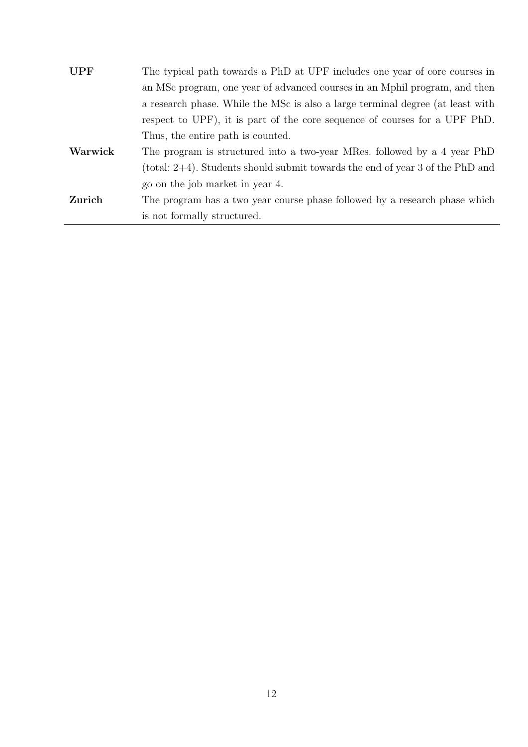| <b>UPF</b> | The typical path towards a PhD at UPF includes one year of core courses in       |
|------------|----------------------------------------------------------------------------------|
|            | an MSc program, one year of advanced courses in an Mphil program, and then       |
|            | a research phase. While the MSc is also a large terminal degree (at least with   |
|            | respect to UPF), it is part of the core sequence of courses for a UPF PhD.       |
|            | Thus, the entire path is counted.                                                |
| Warwick    | The program is structured into a two-year MRes. followed by a 4 year PhD         |
|            | (total: $2+4$ ). Students should submit towards the end of year 3 of the PhD and |
|            | go on the job market in year 4.                                                  |
| Zurich     | The program has a two year course phase followed by a research phase which       |
|            | is not formally structured.                                                      |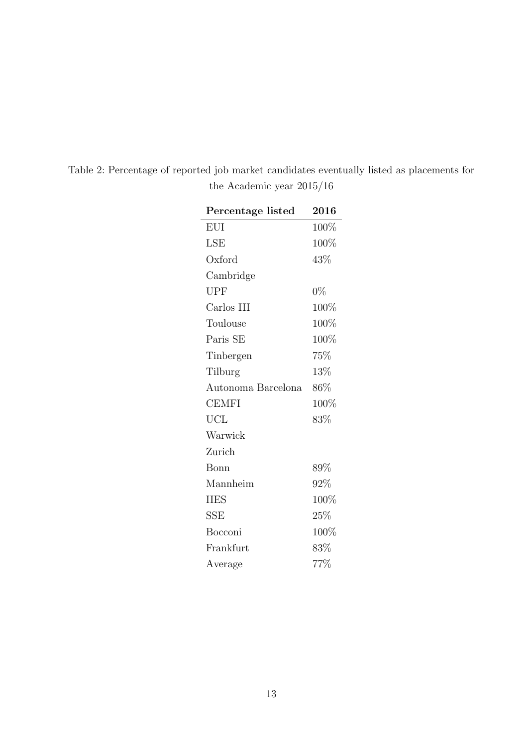| Percentage listed  | 2016    |
|--------------------|---------|
| <b>EUI</b>         | 100%    |
| LSE                | $100\%$ |
| Oxford             | 43\%    |
| Cambridge          |         |
| <b>UPF</b>         | $0\%$   |
| Carlos III         | 100%    |
| Toulouse           | 100%    |
| Paris SE           | 100%    |
| Tinbergen          | 75%     |
| Tilburg            | 13%     |
| Autonoma Barcelona | 86\%    |
| <b>CEMFI</b>       | 100%    |
| <b>UCL</b>         | 83%     |
| Warwick            |         |
| Zurich             |         |
| Bonn               | 89%     |
| Mannheim           | 92%     |
| <b>IIES</b>        | 100%    |
| SSE                | 25\%    |
| Bocconi            | 100%    |
| Frankfurt          | 83%     |
| Average            | 77%     |

<span id="page-12-0"></span>Table 2: Percentage of reported job market candidates eventually listed as placements for the Academic year 2015/16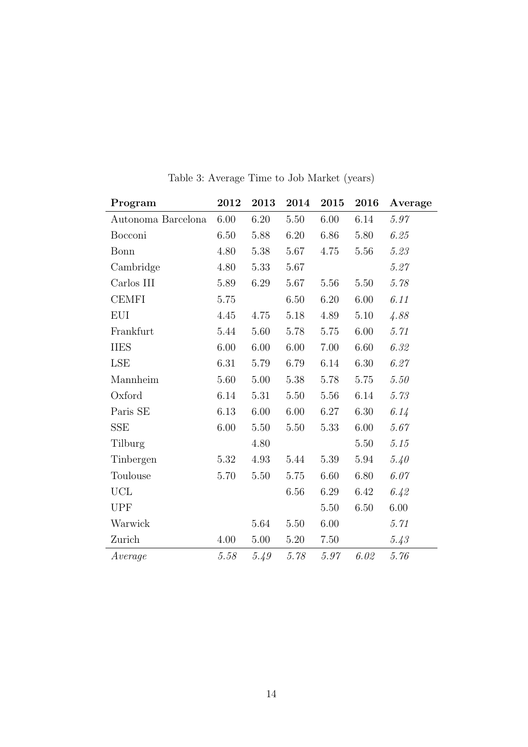<span id="page-13-0"></span>

| Program            | 2012     | 2013     | 2014     | 2015     | 2016     | Average  |
|--------------------|----------|----------|----------|----------|----------|----------|
| Autonoma Barcelona | 6.00     | 6.20     | 5.50     | 6.00     | 6.14     | 5.97     |
| Bocconi            | 6.50     | 5.88     | 6.20     | 6.86     | 5.80     | 6.25     |
| Bonn               | 4.80     | 5.38     | 5.67     | 4.75     | 5.56     | 5.23     |
| Cambridge          | 4.80     | 5.33     | 5.67     |          |          | 5.27     |
| Carlos III         | 5.89     | 6.29     | 5.67     | 5.56     | 5.50     | 5.78     |
| <b>CEMFI</b>       | 5.75     |          | 6.50     | $6.20\,$ | $6.00\,$ | 6.11     |
| <b>EUI</b>         | 4.45     | 4.75     | 5.18     | 4.89     | $5.10$   | 4.88     |
| Frankfurt          | 5.44     | 5.60     | 5.78     | 5.75     | 6.00     | 5.71     |
| <b>IIES</b>        | 6.00     | 6.00     | 6.00     | 7.00     | 6.60     | 6.32     |
| LSE                | 6.31     | 5.79     | 6.79     | 6.14     | 6.30     | 6.27     |
| Mannheim           | 5.60     | 5.00     | 5.38     | 5.78     | 5.75     | 5.50     |
| Oxford             | 6.14     | 5.31     | 5.50     | 5.56     | 6.14     | 5.73     |
| Paris SE           | 6.13     | $6.00\,$ | $6.00\,$ | 6.27     | $6.30\,$ | 6.14     |
| SSE                | 6.00     | 5.50     | 5.50     | 5.33     | 6.00     | 5.67     |
| Tilburg            |          | 4.80     |          |          | 5.50     | $5.15\,$ |
| Tinbergen          | 5.32     | 4.93     | 5.44     | 5.39     | 5.94     | 5.40     |
| Toulouse           | $5.70\,$ | 5.50     | 5.75     | $6.60\,$ | 6.80     | 6.07     |
| <b>UCL</b>         |          |          | 6.56     | 6.29     | 6.42     | 6.42     |
| <b>UPF</b>         |          |          |          | 5.50     | 6.50     | $6.00\,$ |
| Warwick            |          | 5.64     | 5.50     | 6.00     |          | 5.71     |
| Zurich             | 4.00     | 5.00     | 5.20     | 7.50     |          | 5.43     |
| Average            | 5.58     | 5.49     | 5.78     | 5.97     | 6.02     | 5.76     |

Table 3: Average Time to Job Market (years)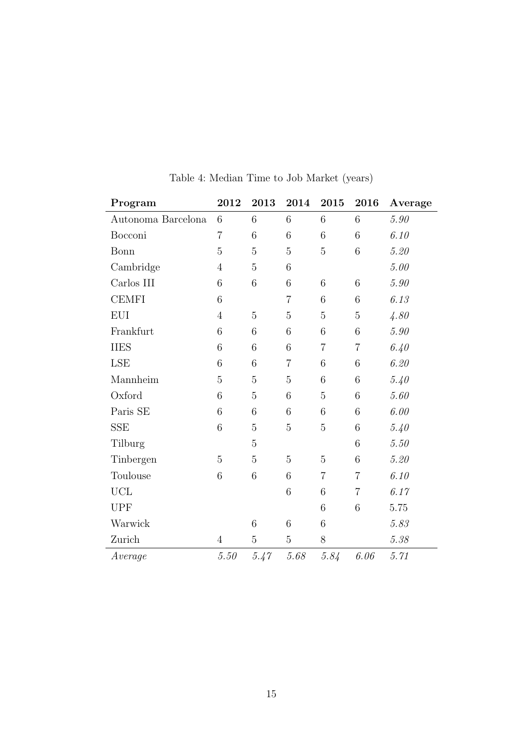<span id="page-14-0"></span>

| Program            | ${\bf 2012}$   | 2013            | 2014            | 2015            | 2016           | Average  |
|--------------------|----------------|-----------------|-----------------|-----------------|----------------|----------|
| Autonoma Barcelona | 6              | 6               | 6               | 6               | 6              | 5.90     |
| Bocconi            | $\overline{7}$ | $\,6$           | 6               | 6               | $\,6$          | 6.10     |
| Bonn               | 5              | $\overline{5}$  | $\overline{5}$  | 5               | 6              | 5.20     |
| Cambridge          | $\overline{4}$ | $\overline{5}$  | $6\phantom{.}6$ |                 |                | 5.00     |
| Carlos III         | 6              | 6               | 6               | 6               | 6              | 5.90     |
| <b>CEMFI</b>       | 6              |                 | $\overline{7}$  | $6\phantom{.}6$ | 6              | 6.13     |
| <b>EUI</b>         | $\overline{4}$ | $\overline{5}$  | $\overline{5}$  | 5               | $\overline{5}$ | 4.80     |
| Frankfurt          | 6              | 6               | 6               | 6               | $\,6$          | $5.90\,$ |
| <b>IIES</b>        | 6              | $6\phantom{.}6$ | $\,6$           | $\overline{7}$  | $\overline{7}$ | 6.40     |
| LSE                | 6              | $6\phantom{.}6$ | 7               | 6               | 6              | 6.20     |
| Mannheim           | 5              | $\overline{5}$  | $\overline{5}$  | 6               | 6              | 5.40     |
| Oxford             | 6              | $\overline{5}$  | 6               | $\overline{5}$  | 6              | $5.60\,$ |
| Paris SE           | 6              | 6               | $6\phantom{.}6$ | 6               | 6              | 6.00     |
| <b>SSE</b>         | 6              | $\overline{5}$  | 5               | 5               | 6              | 5.40     |
| Tilburg            |                | $\overline{5}$  |                 |                 | 6              | $5.50\,$ |
| Tinbergen          | $\overline{5}$ | $\overline{5}$  | $\overline{5}$  | 5               | 6              | 5.20     |
| Toulouse           | 6              | 6               | 6               | $\overline{7}$  | $\overline{7}$ | 6.10     |
| ${\rm UCL}$        |                |                 | $\,6$           | 6               | $\overline{7}$ | 6.17     |
| <b>UPF</b>         |                |                 |                 | 6               | 6              | 5.75     |
| Warwick            |                | $\,$ 6 $\,$     | 6               | 6               |                | 5.83     |
| Zurich             | $\overline{4}$ | $\mathbf 5$     | $\overline{5}$  | $8\,$           |                | 5.38     |
| Average            | 5.50           | 5.47            | 5.68            | 5.84            | 6.06           | 5.71     |

Table 4: Median Time to Job Market (years)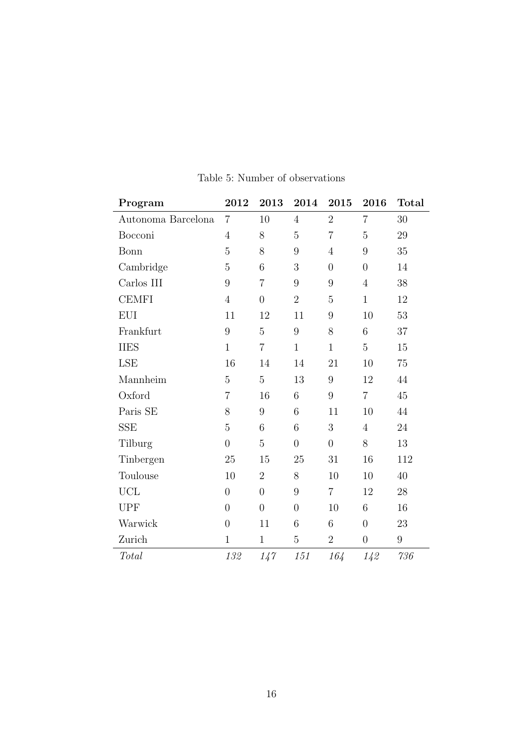<span id="page-15-0"></span>

| Program                     | 2012           | 2013             | 2014           | 2015           | 2016           | <b>Total</b>     |
|-----------------------------|----------------|------------------|----------------|----------------|----------------|------------------|
| Autonoma Barcelona          | $\overline{7}$ | 10               | $\overline{4}$ | $\overline{2}$ | $\overline{7}$ | 30               |
| Bocconi                     | $\overline{4}$ | $8\,$            | 5              | $\overline{7}$ | $\overline{5}$ | 29               |
| Bonn                        | 5              | 8                | 9              | $\overline{4}$ | 9              | 35               |
| Cambridge                   | $\overline{5}$ | 6                | 3              | $\overline{0}$ | $\overline{0}$ | 14               |
| $\operatorname{Carlos}$ III | 9              | $\overline{7}$   | 9              | 9              | $\overline{4}$ | 38               |
| <b>CEMFI</b>                | $\overline{4}$ | $\overline{0}$   | $\overline{2}$ | $\overline{5}$ | $\mathbf{1}$   | 12               |
| EUI                         | 11             | 12               | 11             | 9              | 10             | 53               |
| Frankfurt                   | 9              | 5                | 9              | 8              | 6              | 37               |
| <b>IIES</b>                 | $\mathbf{1}$   | $\overline{7}$   | $\mathbf{1}$   | $\mathbf{1}$   | $\overline{5}$ | $15\,$           |
| LSE                         | 16             | 14               | 14             | 21             | 10             | 75               |
| Mannheim                    | 5              | 5                | 13             | 9              | 12             | 44               |
| Oxford                      | $\overline{7}$ | 16               | 6              | 9              | $\overline{7}$ | 45               |
| Paris SE                    | 8              | $\boldsymbol{9}$ | 6              | 11             | 10             | 44               |
| <b>SSE</b>                  | 5              | 6                | 6              | 3              | $\overline{4}$ | 24               |
| Tilburg                     | $\overline{0}$ | $\overline{5}$   | $\overline{0}$ | $\overline{0}$ | 8              | 13               |
| Tinbergen                   | 25             | 15               | 25             | 31             | 16             | 112              |
| Toulouse                    | 10             | $\overline{2}$   | 8              | 10             | 10             | 40               |
| ${\rm UCL}$                 | $\overline{0}$ | $\overline{0}$   | 9              | $\overline{7}$ | 12             | 28               |
| <b>UPF</b>                  | $\overline{0}$ | $\boldsymbol{0}$ | $\overline{0}$ | 10             | 6              | 16               |
| Warwick                     | $\overline{0}$ | 11               | 6              | 6              | $\overline{0}$ | $23\,$           |
| Zurich                      | $\mathbf{1}$   | $\mathbf{1}$     | $\overline{5}$ | $\overline{2}$ | $\theta$       | $\boldsymbol{9}$ |
| Total                       | 132            | 147              | 151            | 164            | 142            | $736\,$          |

#### Table 5: Number of observations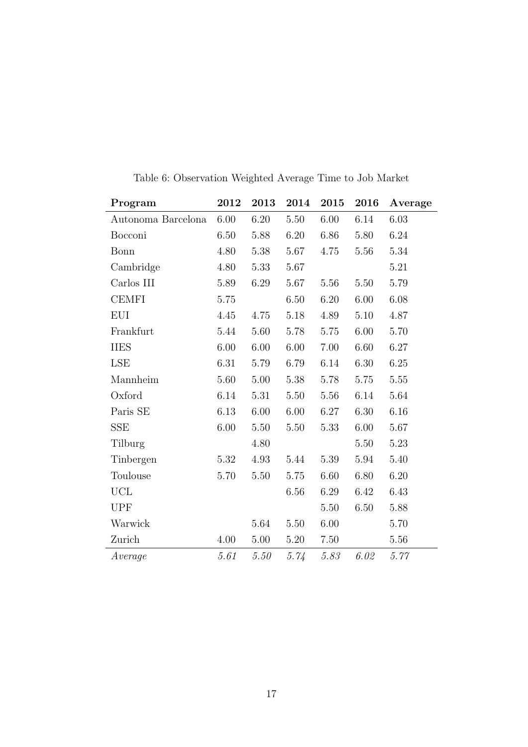<span id="page-16-0"></span>

| Program            | 2012     | 2013     | 2014 | 2015 | 2016     | Average |
|--------------------|----------|----------|------|------|----------|---------|
| Autonoma Barcelona | 6.00     | 6.20     | 5.50 | 6.00 | 6.14     | 6.03    |
| Bocconi            | 6.50     | 5.88     | 6.20 | 6.86 | 5.80     | 6.24    |
| Bonn               | 4.80     | 5.38     | 5.67 | 4.75 | 5.56     | 5.34    |
| Cambridge          | 4.80     | 5.33     | 5.67 |      |          | 5.21    |
| Carlos III         | 5.89     | 6.29     | 5.67 | 5.56 | 5.50     | 5.79    |
| <b>CEMFI</b>       | 5.75     |          | 6.50 | 6.20 | 6.00     | 6.08    |
| <b>EUI</b>         | 4.45     | 4.75     | 5.18 | 4.89 | $5.10\,$ | 4.87    |
| Frankfurt          | 5.44     | 5.60     | 5.78 | 5.75 | 6.00     | 5.70    |
| <b>IIES</b>        | 6.00     | 6.00     | 6.00 | 7.00 | 6.60     | 6.27    |
| LSE                | $6.31\,$ | 5.79     | 6.79 | 6.14 | 6.30     | 6.25    |
| Mannheim           | 5.60     | 5.00     | 5.38 | 5.78 | 5.75     | 5.55    |
| Oxford             | 6.14     | 5.31     | 5.50 | 5.56 | 6.14     | 5.64    |
| Paris SE           | 6.13     | 6.00     | 6.00 | 6.27 | 6.30     | 6.16    |
| <b>SSE</b>         | 6.00     | 5.50     | 5.50 | 5.33 | 6.00     | 5.67    |
| Tilburg            |          | 4.80     |      |      | 5.50     | 5.23    |
| Tinbergen          | 5.32     | 4.93     | 5.44 | 5.39 | 5.94     | 5.40    |
| Toulouse           | 5.70     | 5.50     | 5.75 | 6.60 | 6.80     | 6.20    |
| UCL                |          |          | 6.56 | 6.29 | 6.42     | 6.43    |
| <b>UPF</b>         |          |          |      | 5.50 | 6.50     | 5.88    |
| Warwick            |          | 5.64     | 5.50 | 6.00 |          | 5.70    |
| Zurich             | 4.00     | $5.00\,$ | 5.20 | 7.50 |          | 5.56    |
| Average            | 5.61     | 5.50     | 5.74 | 5.83 | 6.02     | 5.77    |

Table 6: Observation Weighted Average Time to Job Market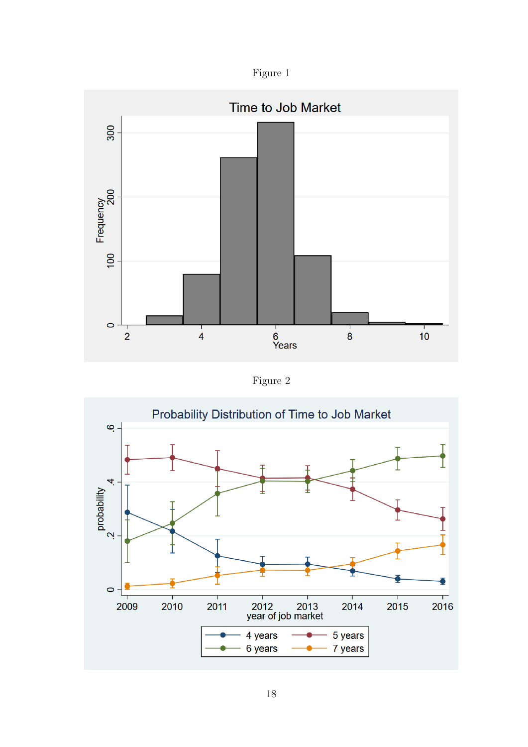

<span id="page-17-0"></span>

Figure 2

<span id="page-17-1"></span>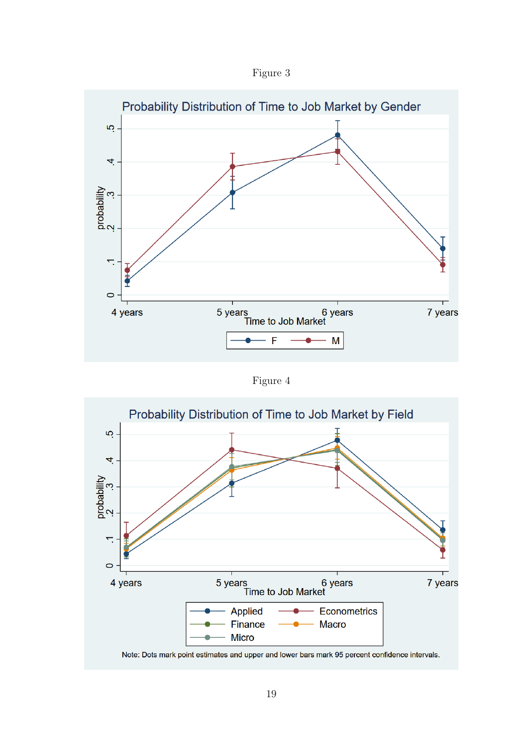

<span id="page-18-0"></span>

Figure 4

<span id="page-18-1"></span>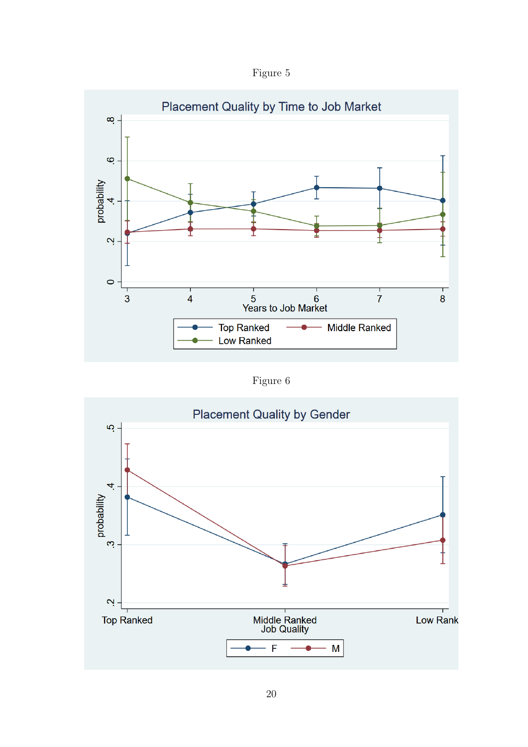Figure 5

<span id="page-19-0"></span>

Figure 6

<span id="page-19-1"></span>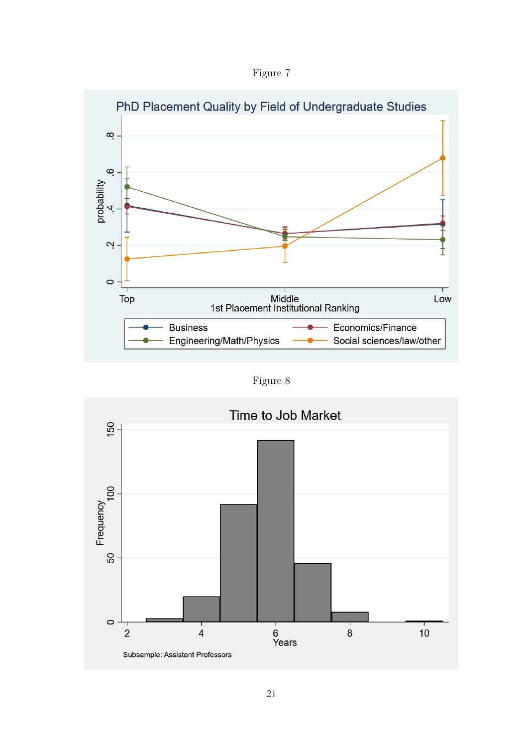

<span id="page-20-0"></span>

Figure 8

<span id="page-20-1"></span>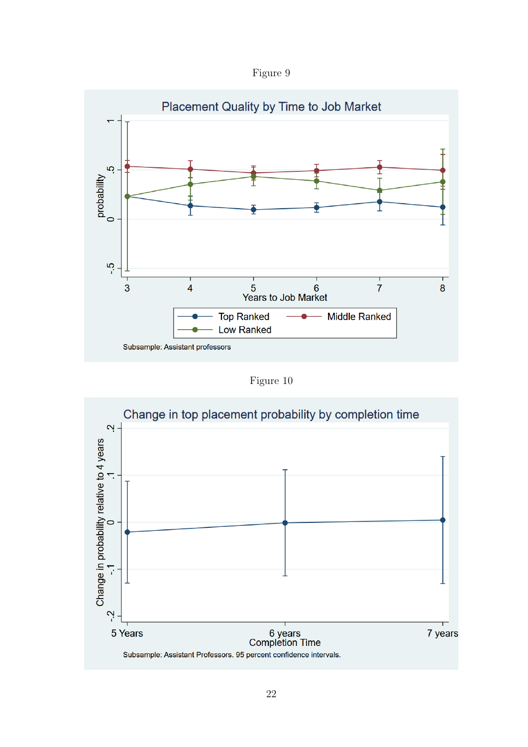Figure 9

<span id="page-21-0"></span>

Figure 10

<span id="page-21-1"></span>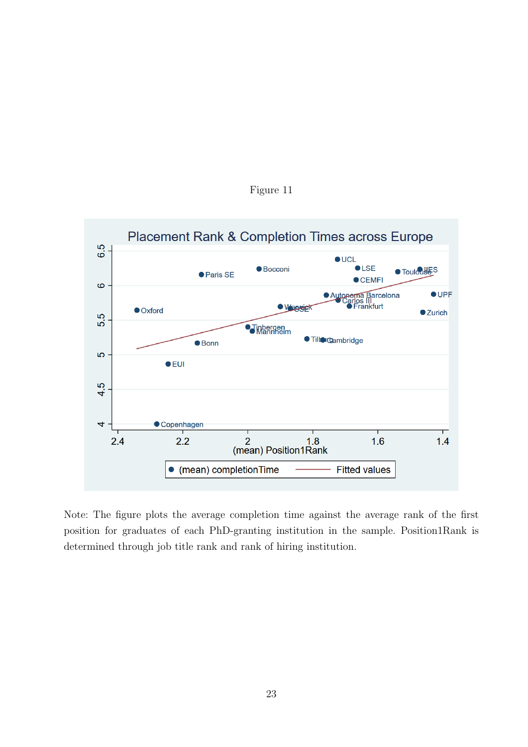<span id="page-22-0"></span>

Figure 11

Note: The figure plots the average completion time against the average rank of the first position for graduates of each PhD-granting institution in the sample. Position1Rank is determined through job title rank and rank of hiring institution.